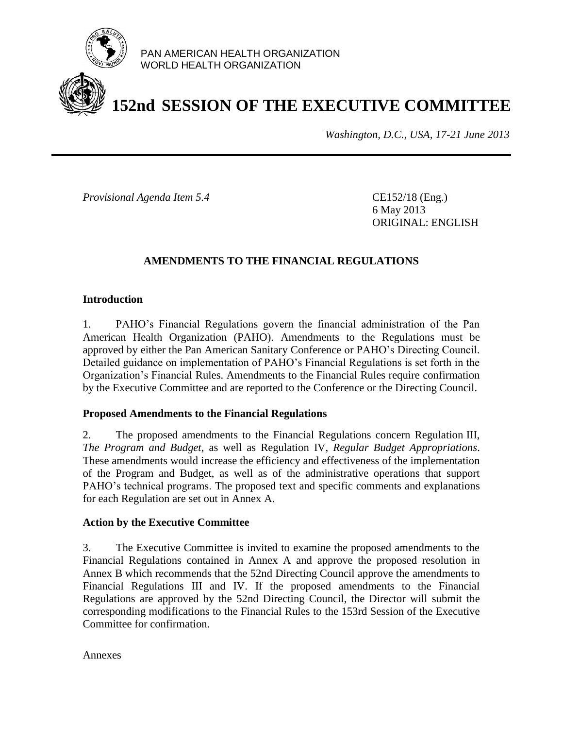

PAN AMERICAN HEALTH ORGANIZATION WORLD HEALTH ORGANIZATION

# **152nd SESSION OF THE EXECUTIVE COMMITTEE**

*Washington, D.C., USA, 17-21 June 2013*

*Provisional Agenda Item 5.4* CE152/18 (Eng.)

6 May 2013 ORIGINAL: ENGLISH

## **AMENDMENTS TO THE FINANCIAL REGULATIONS**

## **Introduction**

1. PAHO's Financial Regulations govern the financial administration of the Pan American Health Organization (PAHO). Amendments to the Regulations must be approved by either the Pan American Sanitary Conference or PAHO's Directing Council. Detailed guidance on implementation of PAHO's Financial Regulations is set forth in the Organization's Financial Rules. Amendments to the Financial Rules require confirmation by the Executive Committee and are reported to the Conference or the Directing Council.

## **Proposed Amendments to the Financial Regulations**

2. The proposed amendments to the Financial Regulations concern Regulation III, *The Program and Budget*, as well as Regulation IV, *Regular Budget Appropriations*. These amendments would increase the efficiency and effectiveness of the implementation of the Program and Budget, as well as of the administrative operations that support PAHO's technical programs. The proposed text and specific comments and explanations for each Regulation are set out in Annex A.

## **Action by the Executive Committee**

3. The Executive Committee is invited to examine the proposed amendments to the Financial Regulations contained in Annex A and approve the proposed resolution in Annex B which recommends that the 52nd Directing Council approve the amendments to Financial Regulations III and IV. If the proposed amendments to the Financial Regulations are approved by the 52nd Directing Council, the Director will submit the corresponding modifications to the Financial Rules to the 153rd Session of the Executive Committee for confirmation.

Annexes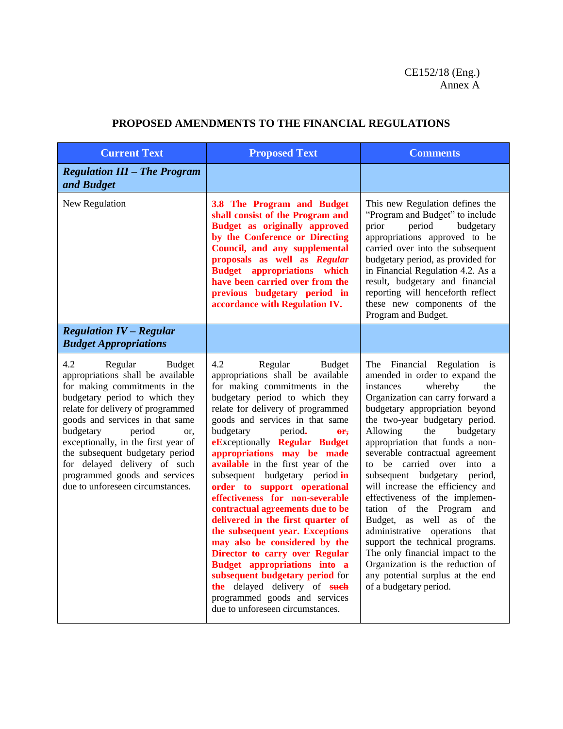## CE152/18 (Eng.) Annex A

| <b>Current Text</b>                                                                                                                                                                                                                                                                                                                                                                                                   | <b>Proposed Text</b>                                                                                                                                                                                                                                                                                                                                                                                                                                                                                                                                                                                                                                                                                                                                                                                                    | <b>Comments</b>                                                                                                                                                                                                                                                                                                                                                                                                                                                                                                                                                                                                                                                                                                             |
|-----------------------------------------------------------------------------------------------------------------------------------------------------------------------------------------------------------------------------------------------------------------------------------------------------------------------------------------------------------------------------------------------------------------------|-------------------------------------------------------------------------------------------------------------------------------------------------------------------------------------------------------------------------------------------------------------------------------------------------------------------------------------------------------------------------------------------------------------------------------------------------------------------------------------------------------------------------------------------------------------------------------------------------------------------------------------------------------------------------------------------------------------------------------------------------------------------------------------------------------------------------|-----------------------------------------------------------------------------------------------------------------------------------------------------------------------------------------------------------------------------------------------------------------------------------------------------------------------------------------------------------------------------------------------------------------------------------------------------------------------------------------------------------------------------------------------------------------------------------------------------------------------------------------------------------------------------------------------------------------------------|
| <b>Regulation III - The Program</b><br>and Budget                                                                                                                                                                                                                                                                                                                                                                     |                                                                                                                                                                                                                                                                                                                                                                                                                                                                                                                                                                                                                                                                                                                                                                                                                         |                                                                                                                                                                                                                                                                                                                                                                                                                                                                                                                                                                                                                                                                                                                             |
| New Regulation                                                                                                                                                                                                                                                                                                                                                                                                        | 3.8 The Program and Budget<br>shall consist of the Program and<br><b>Budget as originally approved</b><br>by the Conference or Directing<br>Council, and any supplemental<br>proposals as well as Regular<br><b>Budget appropriations which</b><br>have been carried over from the<br>previous budgetary period in<br>accordance with Regulation IV.                                                                                                                                                                                                                                                                                                                                                                                                                                                                    | This new Regulation defines the<br>"Program and Budget" to include<br>prior<br>period<br>budgetary<br>appropriations approved to be<br>carried over into the subsequent<br>budgetary period, as provided for<br>in Financial Regulation 4.2. As a<br>result, budgetary and financial<br>reporting will henceforth reflect<br>these new components of the<br>Program and Budget.                                                                                                                                                                                                                                                                                                                                             |
| <b>Regulation IV - Regular</b><br><b>Budget Appropriations</b>                                                                                                                                                                                                                                                                                                                                                        |                                                                                                                                                                                                                                                                                                                                                                                                                                                                                                                                                                                                                                                                                                                                                                                                                         |                                                                                                                                                                                                                                                                                                                                                                                                                                                                                                                                                                                                                                                                                                                             |
| 4.2<br>Regular<br>Budget<br>appropriations shall be available<br>for making commitments in the<br>budgetary period to which they<br>relate for delivery of programmed<br>goods and services in that same<br>budgetary<br>period<br>or.<br>exceptionally, in the first year of<br>the subsequent budgetary period<br>for delayed delivery of such<br>programmed goods and services<br>due to unforeseen circumstances. | 4.2<br>Regular<br><b>Budget</b><br>appropriations shall be available<br>for making commitments in the<br>budgetary period to which they<br>relate for delivery of programmed<br>goods and services in that same<br>budgetary<br>period.<br>$\theta$ r,<br>eExceptionally Regular Budget<br>appropriations may be made<br>available in the first year of the<br>subsequent budgetary period in<br>order to support operational<br>effectiveness for non-severable<br>contractual agreements due to be<br>delivered in the first quarter of<br>the subsequent year. Exceptions<br>may also be considered by the<br>Director to carry over Regular<br>Budget appropriations into a<br>subsequent budgetary period for<br>the delayed delivery of such<br>programmed goods and services<br>due to unforeseen circumstances. | The Financial Regulation is<br>amended in order to expand the<br>whereby<br>instances<br>the<br>Organization can carry forward a<br>budgetary appropriation beyond<br>the two-year budgetary period.<br>budgetary<br>Allowing<br>the<br>appropriation that funds a non-<br>severable contractual agreement<br>to be carried<br>over into a<br>subsequent budgetary period,<br>will increase the efficiency and<br>effectiveness of the implemen-<br>tation of the Program<br>and<br>Budget, as well as of the<br>administrative operations<br>that<br>support the technical programs.<br>The only financial impact to the<br>Organization is the reduction of<br>any potential surplus at the end<br>of a budgetary period. |

## **PROPOSED AMENDMENTS TO THE FINANCIAL REGULATIONS**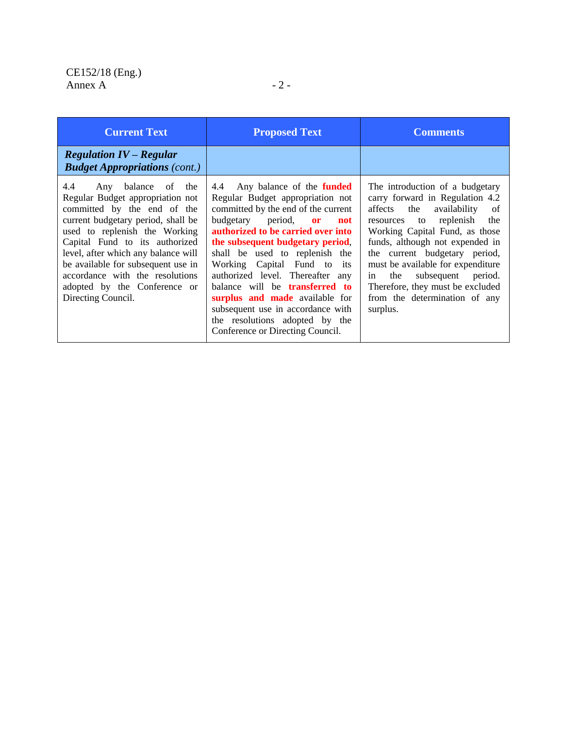| <b>Current Text</b>                                                                                                                                                                                                                                                                                                                                                            | <b>Proposed Text</b>                                                                                                                                                                                                                                                                                                                                                                                                                                                                                                                    | <b>Comments</b>                                                                                                                                                                                                                                                                                                                                                                                           |
|--------------------------------------------------------------------------------------------------------------------------------------------------------------------------------------------------------------------------------------------------------------------------------------------------------------------------------------------------------------------------------|-----------------------------------------------------------------------------------------------------------------------------------------------------------------------------------------------------------------------------------------------------------------------------------------------------------------------------------------------------------------------------------------------------------------------------------------------------------------------------------------------------------------------------------------|-----------------------------------------------------------------------------------------------------------------------------------------------------------------------------------------------------------------------------------------------------------------------------------------------------------------------------------------------------------------------------------------------------------|
| <b>Regulation IV – Regular</b><br><b>Budget Appropriations (cont.)</b>                                                                                                                                                                                                                                                                                                         |                                                                                                                                                                                                                                                                                                                                                                                                                                                                                                                                         |                                                                                                                                                                                                                                                                                                                                                                                                           |
| 4.4<br>Any balance<br>of the<br>Regular Budget appropriation not<br>committed by the end of the<br>current budgetary period, shall be<br>used to replenish the Working<br>Capital Fund to its authorized<br>level, after which any balance will<br>be available for subsequent use in<br>accordance with the resolutions<br>adopted by the Conference or<br>Directing Council. | Any balance of the <b>funded</b><br>4.4<br>Regular Budget appropriation not<br>committed by the end of the current<br>budgetary period,<br><b>or</b><br>not<br>authorized to be carried over into<br>the subsequent budgetary period,<br>shall be used to replenish the<br>Working Capital Fund to its<br>authorized level. Thereafter any<br>balance will be <b>transferred</b> to<br><b>surplus and made</b> available for<br>subsequent use in accordance with<br>the resolutions adopted by the<br>Conference or Directing Council. | The introduction of a budgetary<br>carry forward in Regulation 4.2<br>affects the availability<br>-of<br>replenish<br>resources to<br>the<br>Working Capital Fund, as those<br>funds, although not expended in<br>the current budgetary period,<br>must be available for expenditure<br>subsequent period.<br>the<br>in.<br>Therefore, they must be excluded<br>from the determination of any<br>surplus. |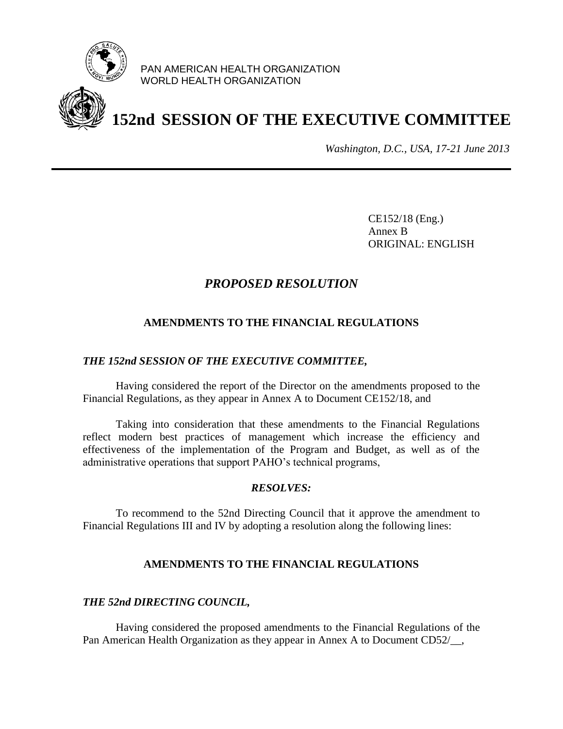

PAN AMERICAN HEALTH ORGANIZATION WORLD HEALTH ORGANIZATION

# **152nd SESSION OF THE EXECUTIVE COMMITTEE**

*Washington, D.C., USA, 17-21 June 2013*

CE152/18 (Eng.) Annex B ORIGINAL: ENGLISH

## *PROPOSED RESOLUTION*

## **AMENDMENTS TO THE FINANCIAL REGULATIONS**

### *THE 152nd SESSION OF THE EXECUTIVE COMMITTEE,*

Having considered the report of the Director on the amendments proposed to the Financial Regulations, as they appear in Annex A to Document CE152/18, and

Taking into consideration that these amendments to the Financial Regulations reflect modern best practices of management which increase the efficiency and effectiveness of the implementation of the Program and Budget, as well as of the administrative operations that support PAHO's technical programs,

#### *RESOLVES:*

To recommend to the 52nd Directing Council that it approve the amendment to Financial Regulations III and IV by adopting a resolution along the following lines:

## **AMENDMENTS TO THE FINANCIAL REGULATIONS**

#### *THE 52nd DIRECTING COUNCIL,*

Having considered the proposed amendments to the Financial Regulations of the Pan American Health Organization as they appear in Annex A to Document CD52/ $\ldots$